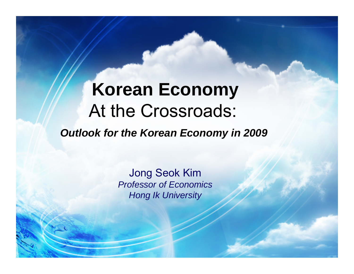# **Korean Economy** At the Crossroads:

*Outlook for the Korean Economy in 2009* 

Jong Seok Kim *Professor of Economics Hong Ik University*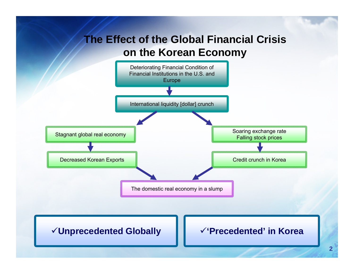# **The Effect of the Global Financial Crisis on the Korean Economy**

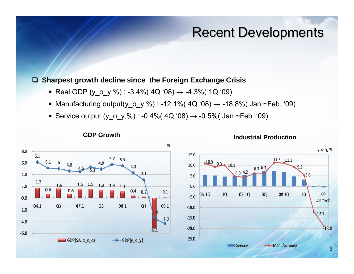# **Recent Developments**

### **Sharpest growth decline since the Foreign Exchange Crisis**

Real GDP (y\_o\_y,%) : -3.4%( 4Q '08) → -4.3%( 1Q '09)

**GDP Growth**

- Manufacturing output(y\_o\_y,%) : -12.1%( 4Q '08) → -18.8%( Jan.~Feb. '09)
- Service output (y\_o\_y,%) : -0.4%( 4Q '08) → -0.5%( Jan.~Feb. '09)



**Industrial Production**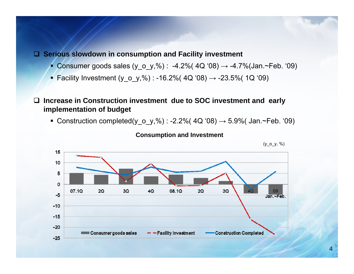### **Serious slowdown in consumption and Facility investment**

- Consumer goods sales (y\_o\_y,%) : -4.2%( 4Q '08) → -4.7%(Jan.~Feb. '09)
- Facility Investment (y\_o\_y,%) : -16.2%( 4Q '08) → -23.5%( 1Q '09)

 $\Box$  **Increase in Construction investment due to SOC investment and early implementation of budget** 

■ Construction completed(y\_o\_y,%) : -2.2%( 4Q '08)  $\rightarrow$  5.9%( Jan.∼Feb. '09)



#### **Consumption and Investment**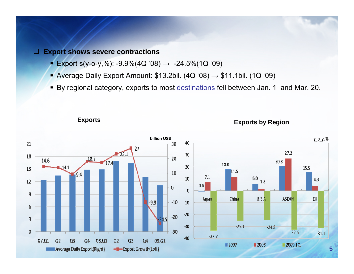#### **Export shows severe contractions**

- п Export s(y-o-y,%): -9.9%(4Q '08)  $\rightarrow$  -24.5%(1Q '09)
- Average Daily Export Amount: \$13.2bil.  $(4Q'08) \rightarrow $11.1$ bil.  $(1Q'09)$
- By regional category, exports to most destinations fell between Jan. 1 and Mar. 20.

**Exports Exports by Region**

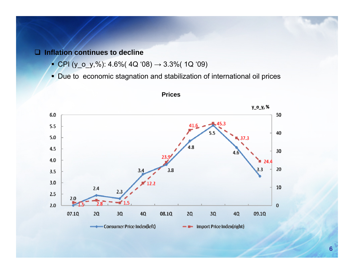#### **Inflation continues to decline**

- CPI (y\_o\_y,%): 4.6%( 4Q '08) <sup>→</sup> 3.3%( 1Q '09)
- Due to economic stagnation and stabilization of international oil prices



#### **Prices**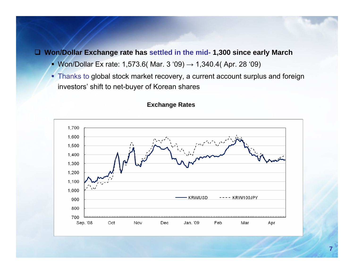### **Won/Dollar Exchange rate has settled in the mid- 1,300 since early March**

- Won/Dollar Ex rate: 1,573.6( Mar. 3 '09) → 1,340.4( Apr. 28 '09)
- Thanks to global stock market recovery, a current account surplus and foreign investors' shift to net-buyer of Korean shares



#### **Exchange Rates**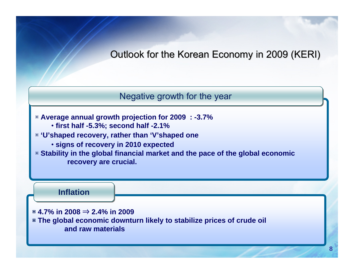Outlook for the Korean Economy in 2009 (KERI)

Negative growth for the year

▣ **Average annual growth projection for 2009 : -3.7%**

- **first half -5.3%; second half -2.1%**
- ▣ **'U'shaped recovery, rather than 'V'shaped one**
	- **signs of recovery in 2010 expected**

▣ **Stability in the global financial market and the pace of the global economic recovery are crucial.** 

**Inflation Inflation**

▣ **4.7% in 2008** ⇒ **2.4% in 2009**

▣ **The global economic downturn likely to stabilize prices of crude oil and raw materials**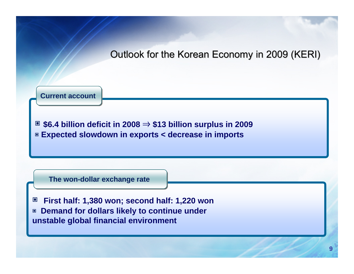### Outlook for the Korean Economy in 2009 (KERI)

**Current account** 

▣ **\$6.4 billion deficit in 2008**  ⇒ **\$13 billion surplus in 2009** ▣ **Expected slowdown in exports < decrease in imports**

**The won-dollar exchange rate** 

▣ **First half: 1,380 won; second half: 1,220 won** ▣ **Demand for dollars likely to continue under unstable global financial environment**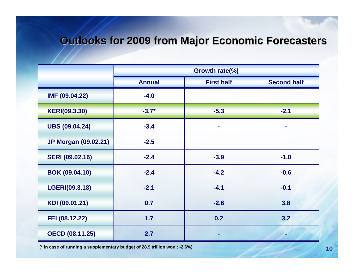# **Outlooks for 2009 from Major Economic Forecasters**

|                             | Growth rate(%) |                   |                    |
|-----------------------------|----------------|-------------------|--------------------|
|                             | <b>Annual</b>  | <b>First half</b> | <b>Second half</b> |
| IMF (09.04.22)              | $-4.0$         |                   |                    |
| <b>KERI(09.3.30)</b>        | $-3.7*$        | $-5.3$            | $-2.1$             |
| <b>UBS (09.04.24)</b>       | $-3.4$         |                   |                    |
| <b>JP Morgan (09.02.21)</b> | $-2.5$         |                   |                    |
| <b>SERI (09.02.16)</b>      | $-2.4$         | $-3.9$            | $-1.0$             |
| <b>BOK (09.04.10)</b>       | $-2.4$         | $-4.2$            | $-0.6$             |
| LGERI(09.3.18)              | $-2.1$         | $-4.1$            | $-0.1$             |
| KDI (09.01.21)              | 0.7            | $-2.6$            | 3.8                |
| FEI (08.12.22)              | 1.7            | 0.2               | 3.2                |
| <b>OECD (08.11.25)</b>      | 2.7            |                   |                    |

**(\* In case of running a supplementary budget of 28.9 trillion won : -2.6%)**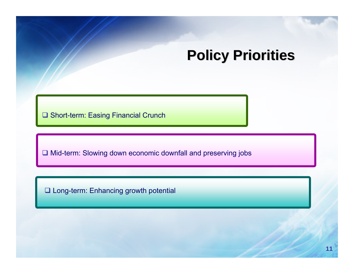# **Policy Priorities**

**□ Short-term: Easing Financial Crunch** 

**□ Mid-term: Slowing down economic downfall and preserving jobs** 

□ Long-term: Enhancing growth potential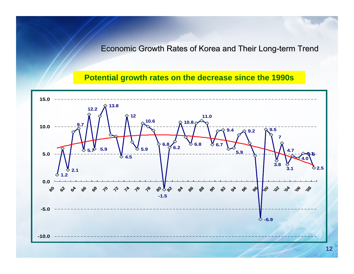Economic Growth Rates of Korea and Their Long-term Trend

**Potential growth rates on the decrease since the 1990s**